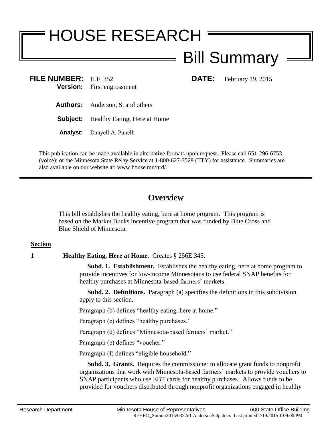# HOUSE RESEARCH

# Bill Summary

**FILE NUMBER:** H.F. 352 **DATE:** February 19, 2015 **Version:** First engrossment

**Authors:** Anderson, S. and others

**Subject:** Healthy Eating, Here at Home

**Analyst:** Danyell A. Punelli

This publication can be made available in alternative formats upon request. Please call 651-296-6753 (voice); or the Minnesota State Relay Service at 1-800-627-3529 (TTY) for assistance. Summaries are also available on our website at: www.house.mn/hrd/.

## **Overview**

This bill establishes the healthy eating, here at home program. This program is based on the Market Bucks incentive program that was funded by Blue Cross and Blue Shield of Minnesota.

### **Section**

**1 Healthy Eating, Here at Home.** Creates § 256E.345.

 **Subd. 1. Establishment.** Establishes the healthy eating, here at home program to provide incentives for low-income Minnesotans to use federal SNAP benefits for healthy purchases at Minnesota-based farmers' markets.

 **Subd. 2. Definitions.** Paragraph (a) specifies the definitions in this subdivision apply to this section.

Paragraph (b) defines "healthy eating, here at home."

Paragraph (c) defines "healthy purchases."

Paragraph (d) defines "Minnesota-based farmers' market."

Paragraph (e) defines "voucher."

Paragraph (f) defines "eligible household."

 **Subd. 3. Grants.** Requires the commissioner to allocate grant funds to nonprofit organizations that work with Minnesota-based farmers' markets to provide vouchers to SNAP participants who use EBT cards for healthy purchases. Allows funds to be provided for vouchers distributed through nonprofit organizations engaged in healthy